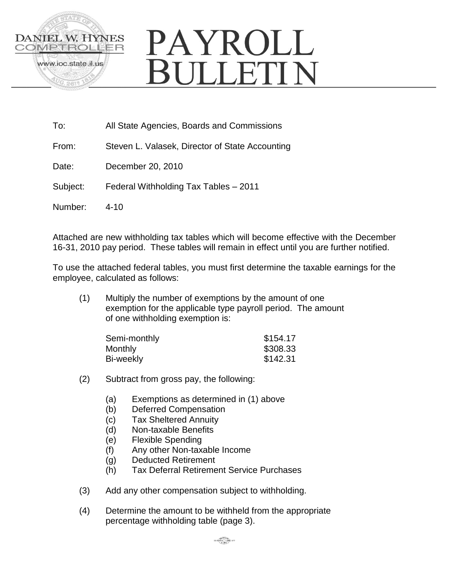

# PAYROLL **RULLETIN**

To: All State Agencies, Boards and Commissions

From: Steven L. Valasek, Director of State Accounting

Date: December 20, 2010

Subject: Federal Withholding Tax Tables – 2011

Number: 4-10

Attached are new withholding tax tables which will become effective with the December 16-31, 2010 pay period. These tables will remain in effect until you are further notified.

To use the attached federal tables, you must first determine the taxable earnings for the employee, calculated as follows:

(1) Multiply the number of exemptions by the amount of one exemption for the applicable type payroll period. The amount of one withholding exemption is:

| \$154.17 |
|----------|
| \$308.33 |
| \$142.31 |
|          |

- (2) Subtract from gross pay, the following:
	- (a) Exemptions as determined in (1) above
	- (b) Deferred Compensation
	- (c) Tax Sheltered Annuity
	- (d) Non-taxable Benefits
	- (e) Flexible Spending
	- (f) Any other Non-taxable Income
	- (g) Deducted Retirement
	- (h) Tax Deferral Retirement Service Purchases
- (3) Add any other compensation subject to withholding.
- (4) Determine the amount to be withheld from the appropriate percentage withholding table (page 3).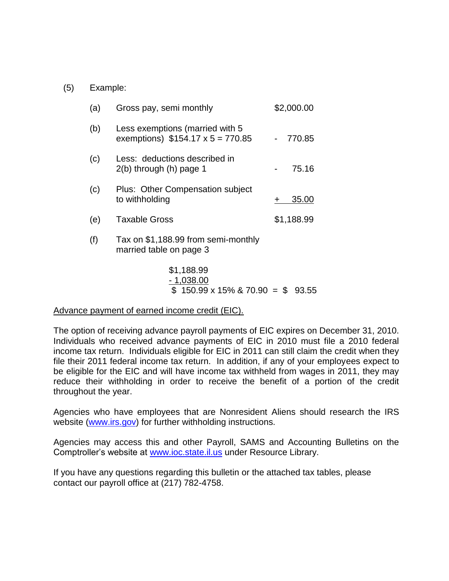### (5) Example:

| (a) | Gross pay, semi monthly                                                    | \$2,000.00 |
|-----|----------------------------------------------------------------------------|------------|
| (b) | Less exemptions (married with 5<br>exemptions) $$154.17 \times 5 = 770.85$ | 770.85     |
| (c) | Less: deductions described in<br>$2(b)$ through $(h)$ page 1               | 75.16      |
| (c) | Plus: Other Compensation subject<br>to withholding                         | 35.00      |
| (e) | <b>Taxable Gross</b>                                                       | \$1,188.99 |
| (f) | Tax on \$1,188.99 from semi-monthly<br>married table on page 3             |            |
|     | $A$ $A$ $A$ $A$ $A$ $A$                                                    |            |

\$1,188.99 - 1,038.00  $$150.99 \times 15\% \& 70.90 = $93.55$ 

#### Advance payment of earned income credit (EIC).

The option of receiving advance payroll payments of EIC expires on December 31, 2010. Individuals who received advance payments of EIC in 2010 must file a 2010 federal income tax return. Individuals eligible for EIC in 2011 can still claim the credit when they file their 2011 federal income tax return. In addition, if any of your employees expect to be eligible for the EIC and will have income tax withheld from wages in 2011, they may reduce their withholding in order to receive the benefit of a portion of the credit throughout the year.

Agencies who have employees that are Nonresident Aliens should research the IRS website [\(www.irs.gov\)](http://www.irs.gov/) for further withholding instructions.

Agencies may access this and other Payroll, SAMS and Accounting Bulletins on the Comptroller's website at [www.ioc.state.il.us](http://www.ioc.state.il.us/) under Resource Library.

If you have any questions regarding this bulletin or the attached tax tables, please contact our payroll office at (217) 782-4758.